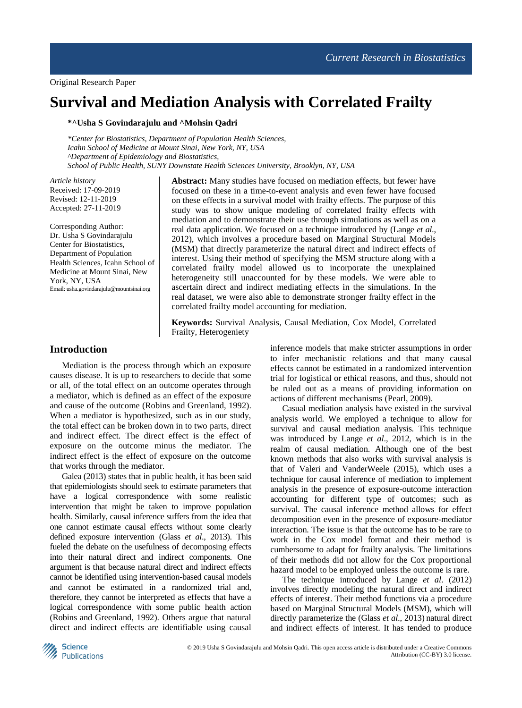# **Survival and Mediation Analysis with Correlated Frailty**

**\*^Usha S Govindarajulu and ^Mohsin Qadri**

*\*Center for Biostatistics, Department of Population Health Sciences, Icahn School of Medicine at Mount Sinai, New York, NY, USA ^Department of Epidemiology and Biostatistics, School of Public Health, SUNY Downstate Health Sciences University, Brooklyn, NY, USA*

*Article history* Received: 17-09-2019 Revised: 12-11-2019 Accepted: 27-11-2019

Corresponding Author: Dr. Usha S Govindarajulu Center for Biostatistics, Department of Population Health Sciences, Icahn School of Medicine at Mount Sinai, New York, NY, USA Email: usha.govindarajulu@mountsinai.org

**Abstract:** Many studies have focused on mediation effects, but fewer have focused on these in a time-to-event analysis and even fewer have focused on these effects in a survival model with frailty effects. The purpose of this study was to show unique modeling of correlated frailty effects with mediation and to demonstrate their use through simulations as well as on a real data application. We focused on a technique introduced by (Lange *et al*., 2012), which involves a procedure based on Marginal Structural Models (MSM) that directly parameterize the natural direct and indirect effects of interest. Using their method of specifying the MSM structure along with a correlated frailty model allowed us to incorporate the unexplained heterogeneity still unaccounted for by these models. We were able to ascertain direct and indirect mediating effects in the simulations. In the real dataset, we were also able to demonstrate stronger frailty effect in the correlated frailty model accounting for mediation.

**Keywords:** Survival Analysis, Causal Mediation, Cox Model, Correlated Frailty, Heterogeniety

# **Introduction**

Mediation is the process through which an exposure causes disease. It is up to researchers to decide that some or all, of the total effect on an outcome operates through a mediator, which is defined as an effect of the exposure and cause of the outcome (Robins and Greenland, 1992). When a mediator is hypothesized, such as in our study, the total effect can be broken down in to two parts, direct and indirect effect. The direct effect is the effect of exposure on the outcome minus the mediator. The indirect effect is the effect of exposure on the outcome that works through the mediator.

Galea (2013) states that in public health, it has been said that epidemiologists should seek to estimate parameters that have a logical correspondence with some realistic intervention that might be taken to improve population health. Similarly, causal inference suffers from the idea that one cannot estimate causal effects without some clearly defined exposure intervention (Glass *et al*., 2013). This fueled the debate on the usefulness of decomposing effects into their natural direct and indirect components. One argument is that because natural direct and indirect effects cannot be identified using intervention-based causal models and cannot be estimated in a randomized trial and, therefore, they cannot be interpreted as effects that have a logical correspondence with some public health action (Robins and Greenland, 1992). Others argue that natural direct and indirect effects are identifiable using causal inference models that make stricter assumptions in order to infer mechanistic relations and that many causal effects cannot be estimated in a randomized intervention trial for logistical or ethical reasons, and thus, should not be ruled out as a means of providing information on actions of different mechanisms (Pearl, 2009).

Casual mediation analysis have existed in the survival analysis world. We employed a technique to allow for survival and causal mediation analysis. This technique was introduced by Lange *et al*., 2012, which is in the realm of causal mediation. Although one of the best known methods that also works with survival analysis is that of Valeri and VanderWeele (2015), which uses a technique for causal inference of mediation to implement analysis in the presence of exposure-outcome interaction accounting for different type of outcomes; such as survival. The causal inference method allows for effect decomposition even in the presence of exposure-mediator interaction. The issue is that the outcome has to be rare to work in the Cox model format and their method is cumbersome to adapt for frailty analysis. The limitations of their methods did not allow for the Cox proportional hazard model to be employed unless the outcome is rare.

The technique introduced by Lange *et al*. (2012) involves directly modeling the natural direct and indirect effects of interest. Their method functions via a procedure based on Marginal Structural Models (MSM), which will directly parameterize the (Glass *et al*., 2013) natural direct and indirect effects of interest. It has tended to produce

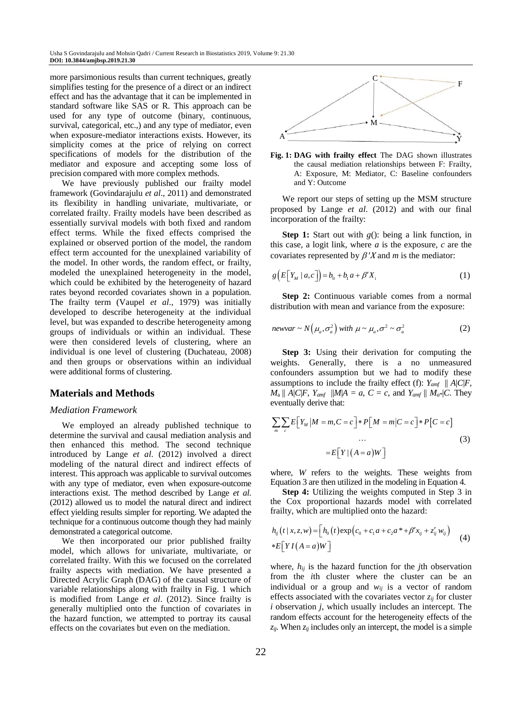more parsimonious results than current techniques, greatly simplifies testing for the presence of a direct or an indirect effect and has the advantage that it can be implemented in standard software like SAS or R. This approach can be used for any type of outcome (binary, continuous, survival, categorical, etc.,) and any type of mediator, even when exposure-mediator interactions exists. However, its simplicity comes at the price of relying on correct specifications of models for the distribution of the mediator and exposure and accepting some loss of precision compared with more complex methods.

We have previously published our frailty model framework (Govindarajulu *et al*., 2011) and demonstrated its flexibility in handling univariate, multivariate, or correlated frailty. Frailty models have been described as essentially survival models with both fixed and random effect terms. While the fixed effects comprised the explained or observed portion of the model, the random effect term accounted for the unexplained variability of the model. In other words, the random effect, or frailty, modeled the unexplained heterogeneity in the model, which could be exhibited by the heterogeneity of hazard rates beyond recorded covariates shown in a population. The frailty term (Vaupel *et al*., 1979) was initially developed to describe heterogeneity at the individual level, but was expanded to describe heterogeneity among groups of individuals or within an individual. These were then considered levels of clustering, where an individual is one level of clustering (Duchateau, 2008) and then groups or observations within an individual were additional forms of clustering.

### **Materials and Methods**

#### *Mediation Framework*

We employed an already published technique to determine the survival and causal mediation analysis and then enhanced this method. The second technique introduced by Lange *et al*. (2012) involved a direct modeling of the natural direct and indirect effects of interest. This approach was applicable to survival outcomes with any type of mediator, even when exposure-outcome interactions exist. The method described by Lange *et al*. (2012) allowed us to model the natural direct and indirect effect yielding results simpler for reporting. We adapted the technique for a continuous outcome though they had mainly demonstrated a categorical outcome.

We then incorporated our prior published frailty model, which allows for univariate, multivariate, or correlated frailty. With this we focused on the correlated frailty aspects with mediation. We have presented a Directed Acrylic Graph (DAG) of the causal structure of variable relationships along with frailty in Fig. 1 which is modified from Lange *et al*. (2012). Since frailty is generally multiplied onto the function of covariates in the hazard function, we attempted to portray its causal effects on the covariates but even on the mediation.





We report our steps of setting up the MSM structure proposed by Lange *et al*. (2012) and with our final incorporation of the frailty:

**Step 1:** Start out with *g*(): being a link function, in this case, a logit link, where *a* is the exposure, *c* are the covariates represented by  $\beta' X$  and *m* is the mediator:

$$
g\left(E\left[Y_M \mid a, c\right]\right) = b_0 + b_1 a + \beta' X_i \tag{1}
$$

**Step 2:** Continuous variable comes from a normal distribution with mean and variance from the exposure:

$$
newvar \sim N(\mu_a, \sigma_a^2) \text{ with } \mu \sim \mu_a, \sigma^2 \sim \sigma_a^2 \tag{2}
$$

**Step 3:** Using their derivation for computing the weights. Generally, there is a no unmeasured confounders assumption but we had to modify these assumptions to include the frailty effect (f):  $Y_{amf} \parallel A|C|F$ ,  $M_a \parallel A|C|F$ ,  $Y_{amf} \parallel M|A = a$ ,  $C = c$ , and  $Y_{amf} \parallel M_a * |C$ . They eventually derive that:

$$
\sum_{m} \sum_{c} E[Y_{M} | M = m, C = c] * P[M = m | C = c] * P[C = c]
$$
  
...  

$$
= E[Y | (A = a)W]
$$
 (3)

where, *W* refers to the weights. These weights from Equation 3 are then utilized in the modeling in Equation 4.

**Step 4:** Utilizing the weights computed in Step 3 in the Cox proportional hazards model with correlated frailty, which are multiplied onto the hazard:

$$
h_{ij}(t | x, z, w) = [h_0(t) \exp(c_0 + c_1 a + c_2 a^* + \beta' x_{ij} + z'_{ij} w_{ij})
$$
  
\* $E[YI(A = a)W]$  (4)

where,  $h_{ij}$  is the hazard function for the *j*th observation from the *i*th cluster where the cluster can be an individual or a group and  $w_{ij}$  is a vector of random effects associated with the covariates vector *zij* for cluster *i* observation *j*, which usually includes an intercept. The random effects account for the heterogeneity effects of the  $z_{ij}$ . When  $z_{ij}$  includes only an intercept, the model is a simple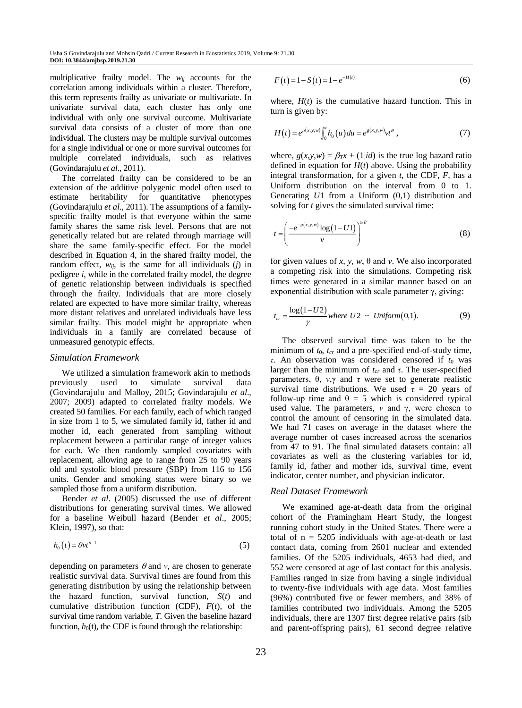multiplicative frailty model. The  $w_{ii}$  accounts for the correlation among individuals within a cluster. Therefore, this term represents frailty as univariate or multivariate. In univariate survival data, each cluster has only one individual with only one survival outcome. Multivariate survival data consists of a cluster of more than one individual. The clusters may be multiple survival outcomes for a single individual or one or more survival outcomes for multiple correlated individuals, such as relatives (Govindarajulu *et al*., 2011).

The correlated frailty can be considered to be an extension of the additive polygenic model often used to estimate heritability for quantitative phenotypes (Govindarajulu *et al*., 2011). The assumptions of a familyspecific frailty model is that everyone within the same family shares the same risk level. Persons that are not genetically related but are related through marriage will share the same family-specific effect. For the model described in Equation 4, in the shared frailty model, the random effect,  $w_{ij}$ , is the same for all individuals (*j*) in pedigree *i*, while in the correlated frailty model, the degree of genetic relationship between individuals is specified through the frailty. Individuals that are more closely related are expected to have more similar frailty, whereas more distant relatives and unrelated individuals have less similar frailty. This model might be appropriate when individuals in a family are correlated because of unmeasured genotypic effects.

#### *Simulation Framework*

We utilized a simulation framework akin to methods<br>viously used to simulate survival data previously used to simulate survival data (Govindarajulu and Malloy, 2015; Govindarajulu *et al*., 2007; 2009) adapted to correlated frailty models. We created 50 families. For each family, each of which ranged in size from 1 to 5, we simulated family id, father id and mother id, each generated from sampling without replacement between a particular range of integer values for each. We then randomly sampled covariates with replacement, allowing age to range from 25 to 90 years old and systolic blood pressure (SBP) from 116 to 156 units. Gender and smoking status were binary so we sampled those from a uniform distribution.

Bender *et al*. (2005) discussed the use of different distributions for generating survival times. We allowed for a baseline Weibull hazard (Bender *et al*., 2005; Klein, 1997), so that:

$$
h_0(t) = \theta v t^{\theta - 1} \tag{5}
$$

depending on parameters  $\theta$  and *v*, are chosen to generate realistic survival data. Survival times are found from this generating distribution by using the relationship between the hazard function, survival function, *S*(*t*) and cumulative distribution function (CDF), *F*(*t*), of the survival time random variable, *T*. Given the baseline hazard function,  $h_0(t)$ , the CDF is found through the relationship:

$$
F(t) = 1 - S(t) = 1 - e^{-H(t)}
$$
\n(6)

where,  $H(t)$  is the cumulative hazard function. This in turn is given by:

$$
H(t) = e^{g(x, y, w)} \int_0^t h_0(u) du = e^{g(x, y, w)} v t^{\theta}, \qquad (7)
$$

where,  $g(x,y,w) = \beta_T x + (1/id)$  is the true log hazard ratio defined in equation for  $H(t)$  above. Using the probability integral transformation, for a given *t*, the CDF, *F*, has a Uniform distribution on the interval from 0 to 1. Generating *U*1 from a Uniform (0,1) distribution and solving for *t* gives the simulated survival time:

$$
t = \left(\frac{-e^{-s(x,y,w)}\log(1-U1)}{v}\right)^{1/\theta} \tag{8}
$$

for given values of *x*, *y*, *w*, θ and *ν*. We also incorporated a competing risk into the simulations. Competing risk times were generated in a similar manner based on an exponential distribution with scale parameter γ, giving:

$$
t_{cr} = \frac{\log(1-U2)}{\gamma} \text{ where } U2 \sim \text{Uniform}(0,1). \tag{9}
$$

The observed survival time was taken to be the minimum of  $t_0$ ,  $t_{cr}$  and a pre-specified end-of-study time, *τ*. An observation was considered censored if *t*<sup>0</sup> was larger than the minimum of *tcr* and *τ*. The user-specified parameters, θ, *ν*,γ and *τ* were set to generate realistic survival time distributions. We used  $\tau = 20$  years of follow-up time and  $\theta = 5$  which is considered typical used value. The parameters, *ν* and γ, were chosen to control the amount of censoring in the simulated data. We had 71 cases on average in the dataset where the average number of cases increased across the scenarios from 47 to 91. The final simulated datasets contain: all covariates as well as the clustering variables for id, family id, father and mother ids, survival time, event indicator, center number, and physician indicator.

### *Real Dataset Framework*

We examined age-at-death data from the original cohort of the Framingham Heart Study, the longest running cohort study in the United States. There were a total of  $n = 5205$  individuals with age-at-death or last contact data, coming from 2601 nuclear and extended families. Of the 5205 individuals, 4653 had died, and 552 were censored at age of last contact for this analysis. Families ranged in size from having a single individual to twenty-five individuals with age data. Most families (96%) contributed five or fewer members, and 38% of families contributed two individuals. Among the 5205 individuals, there are 1307 first degree relative pairs (sib and parent-offspring pairs), 61 second degree relative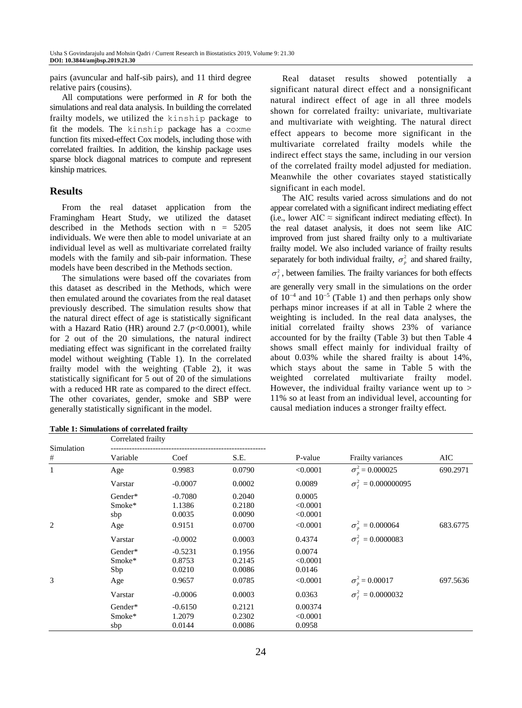pairs (avuncular and half-sib pairs), and 11 third degree relative pairs (cousins).

All computations were performed in *R* for both the simulations and real data analysis. In building the correlated frailty models, we utilized the kinship package to fit the models. The kinship package has a coxme function fits mixed-effect Cox models, including those with correlated frailties. In addition, the kinship package uses sparse block diagonal matrices to compute and represent kinship matrices.

# **Results**

From the real dataset application from the Framingham Heart Study, we utilized the dataset described in the Methods section with n = 5205 individuals. We were then able to model univariate at an individual level as well as multivariate correlated frailty models with the family and sib-pair information. These models have been described in the Methods section.

The simulations were based off the covariates from this dataset as described in the Methods, which were then emulated around the covariates from the real dataset previously described. The simulation results show that the natural direct effect of age is statistically significant with a Hazard Ratio (HR) around 2.7 ( $p$ <0.0001), while for 2 out of the 20 simulations, the natural indirect mediating effect was significant in the correlated frailty model without weighting (Table 1). In the correlated frailty model with the weighting (Table 2), it was statistically significant for 5 out of 20 of the simulations with a reduced HR rate as compared to the direct effect. The other covariates, gender, smoke and SBP were generally statistically significant in the model.

Real dataset results showed potentially a significant natural direct effect and a nonsignificant natural indirect effect of age in all three models shown for correlated frailty: univariate, multivariate and multivariate with weighting. The natural direct effect appears to become more significant in the multivariate correlated frailty models while the indirect effect stays the same, including in our version of the correlated frailty model adjusted for mediation. Meanwhile the other covariates stayed statistically significant in each model.

The AIC results varied across simulations and do not appear correlated with a significant indirect mediating effect (i.e., lower AIC  $\approx$  significant indirect mediating effect). In the real dataset analysis, it does not seem like AIC improved from just shared frailty only to a multivariate frailty model. We also included variance of frailty results separately for both individual frailty,  $\sigma_p^2$  and shared frailty,  $\sigma_f^2$ , between families. The frailty variances for both effects are generally very small in the simulations on the order of  $10^{-4}$  and  $10^{-5}$  (Table 1) and then perhaps only show perhaps minor increases if at all in Table 2 where the weighting is included. In the real data analyses, the initial correlated frailty shows 23% of variance accounted for by the frailty (Table 3) but then Table 4 shows small effect mainly for individual frailty of about 0.03% while the shared frailty is about 14%, which stays about the same in Table 5 with the weighted correlated multivariate frailty model. However, the individual frailty variance went up to  $>$ 11% so at least from an individual level, accounting for causal mediation induces a stronger frailty effect.

| Simulation   | Correlated frailty              |                                         |                                      |                                            |                                  |          |
|--------------|---------------------------------|-----------------------------------------|--------------------------------------|--------------------------------------------|----------------------------------|----------|
| #            | Variable                        | Coef                                    | S.E.                                 | P-value                                    | Frailty variances                | AIC      |
| $\mathbf{1}$ | Age                             | 0.9983                                  | 0.0790                               | < 0.0001                                   | $\sigma_{\eta}^2 = 0.000025$     | 690.2971 |
|              | Varstar                         | $-0.0007$                               | 0.0002                               | 0.0089                                     | $\sigma_{\rm f}^2 = 0.000000095$ |          |
| 2            | Gender*<br>Smoke*<br>sbp<br>Age | $-0.7080$<br>1.1386<br>0.0035<br>0.9151 | 0.2040<br>0.2180<br>0.0090<br>0.0700 | 0.0005<br>< 0.0001<br>< 0.0001<br>< 0.0001 | $\sigma_n^2 = 0.000064$          | 683.6775 |
|              | Varstar                         | $-0.0002$                               | 0.0003                               | 0.4374                                     | $\sigma_{\rm r}^2 = 0.0000083$   |          |
| 3            | Gender*<br>Smoke*<br>Sbp<br>Age | $-0.5231$<br>0.8753<br>0.0210<br>0.9657 | 0.1956<br>0.2145<br>0.0086<br>0.0785 | 0.0074<br>< 0.0001<br>0.0146<br>< 0.0001   | $\sigma_p^2 = 0.00017$           | 697.5636 |
|              | Varstar                         | $-0.0006$                               | 0.0003                               | 0.0363                                     | $\sigma_{\rm f}^2 = 0.0000032$   |          |
|              | Gender*<br>Smoke*<br>sbp        | $-0.6150$<br>1.2079<br>0.0144           | 0.2121<br>0.2302<br>0.0086           | 0.00374<br>< 0.0001<br>0.0958              |                                  |          |

**Table 1: Simulations of correlated frailty**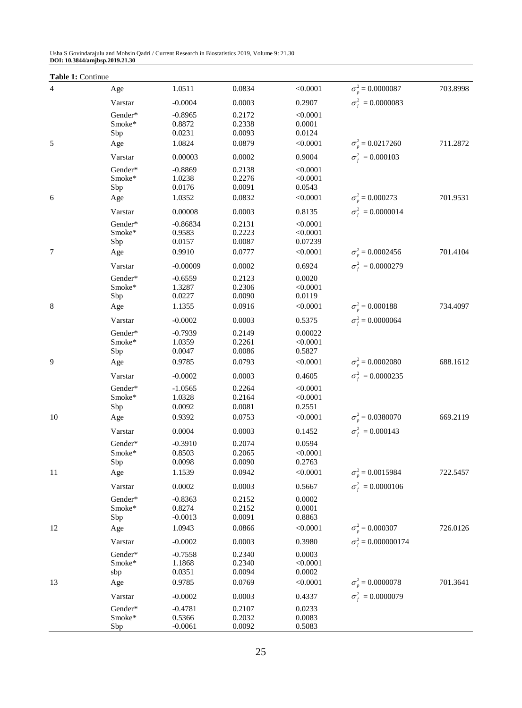| Table 1: Continue |                   |                     |                  |                      |                                | 703.8998 |
|-------------------|-------------------|---------------------|------------------|----------------------|--------------------------------|----------|
| 4                 | Age               | 1.0511              | 0.0834           | < 0.0001             | $\sigma_p^2 = 0.0000087$       |          |
|                   | Varstar           | $-0.0004$           | 0.0003           | 0.2907               | $\sigma_f^2 = 0.0000083$       |          |
|                   | Gender*<br>Smoke* | $-0.8965$<br>0.8872 | 0.2172<br>0.2338 | < 0.0001<br>0.0001   |                                |          |
|                   | Sbp               | 0.0231              | 0.0093           | 0.0124               |                                |          |
| 5                 | Age               | 1.0824              | 0.0879           | < 0.0001             | $\sigma_{\eta}^2 = 0.0217260$  | 711.2872 |
|                   | Varstar           | 0.00003             | 0.0002           | 0.9004               | $\sigma_{\rm f}^2 = 0.000103$  |          |
|                   | Gender*           | $-0.8869$           | 0.2138           | < 0.0001             |                                |          |
|                   | Smoke*            | 1.0238              | 0.2276           | < 0.0001             |                                |          |
|                   | Sbp               | 0.0176              | 0.0091           | 0.0543               |                                |          |
| 6                 | Age               | 1.0352              | 0.0832           | < 0.0001             | $\sigma_p^2 = 0.000273$        | 701.9531 |
|                   | Varstar           | 0.00008             | 0.0003           | 0.8135               | $\sigma_{\rm f}^2 = 0.0000014$ |          |
|                   | Gender*           | $-0.86834$          | 0.2131           | < 0.0001             |                                |          |
|                   | Smoke*<br>Sbp     | 0.9583<br>0.0157    | 0.2223<br>0.0087 | < 0.0001<br>0.07239  |                                |          |
| 7                 | Age               | 0.9910              | 0.0777           | < 0.0001             | $\sigma_{\eta}^2 = 0.0002456$  | 701.4104 |
|                   | Varstar           | $-0.00009$          | 0.0002           | 0.6924               | $\sigma_{\rm f}^2 = 0.0000279$ |          |
|                   | Gender*           | $-0.6559$           | 0.2123           | 0.0020               |                                |          |
|                   | Smoke*            | 1.3287              | 0.2306           | < 0.0001             |                                |          |
|                   | Sbp               | 0.0227              | 0.0090           | 0.0119               |                                |          |
| 8                 | Age               | 1.1355              | 0.0916           | < 0.0001             | $\sigma_p^2 = 0.000188$        | 734.4097 |
|                   | Varstar           | $-0.0002$           | 0.0003           | 0.5375               | $\sigma_f^2$ = 0.0000064       |          |
|                   | Gender*           | $-0.7939$           | 0.2149           | 0.00022              |                                |          |
|                   | Smoke*            | 1.0359              | 0.2261           | < 0.0001             |                                |          |
| 9                 | Sbp               | 0.0047              | 0.0086           | 0.5827               | $\sigma_{\eta}^2 = 0.0002080$  |          |
|                   | Age               | 0.9785              | 0.0793           | < 0.0001             |                                | 688.1612 |
|                   | Varstar           | $-0.0002$           | 0.0003           | 0.4605               | $\sigma_{\rm r}^2 = 0.0000235$ |          |
|                   | Gender*<br>Smoke* | $-1.0565$<br>1.0328 | 0.2264<br>0.2164 | < 0.0001<br>< 0.0001 |                                |          |
|                   | Sbp               | 0.0092              | 0.0081           | 0.2551               |                                |          |
| 10                | Age               | 0.9392              | 0.0753           | < 0.0001             | $\sigma_{\eta}^2 = 0.0380070$  | 669.2119 |
|                   | Varstar           | 0.0004              | 0.0003           | 0.1452               | $\sigma_f^2 = 0.000143$        |          |
|                   | Gender*           | $-0.3910$           | 0.2074           | 0.0594               |                                |          |
|                   | Smoke*            | 0.8503              | 0.2065           | < 0.0001             |                                |          |
|                   | Sbp               | 0.0098              | 0.0090           | 0.2763               |                                |          |
| 11                | Age               | 1.1539              | 0.0942           | < 0.0001             | $\sigma_p^2$ = 0.0015984       | 722.5457 |
|                   | Varstar           | 0.0002              | 0.0003           | 0.5667               | $\sigma_f^2 = 0.0000106$       |          |
|                   | Gender*           | $-0.8363$           | 0.2152           | 0.0002               |                                |          |
|                   | Smoke*            | 0.8274              | 0.2152           | 0.0001               |                                |          |
|                   | Sbp               | $-0.0013$           | 0.0091           | 0.8863               |                                | 726.0126 |
| 12                | Age               | 1.0943              | 0.0866           | < 0.0001             | $\sigma_p^2 = 0.000307$        |          |
|                   | Varstar           | $-0.0002$           | 0.0003           | 0.3980               | $\sigma_f^2$ = 0.000000174     |          |
|                   | Gender*<br>Smoke* | $-0.7558$<br>1.1868 | 0.2340<br>0.2340 | 0.0003<br>< 0.0001   |                                |          |
|                   | sbp               | 0.0351              | 0.0094           | 0.0002               |                                |          |
| 13                | Age               | 0.9785              | 0.0769           | < 0.0001             | $\sigma_p^2 = 0.0000078$       | 701.3641 |
|                   | Varstar           | $-0.0002$           | 0.0003           | 0.4337               | $\sigma_{\rm f}^2 = 0.0000079$ |          |
|                   | Gender*           | $-0.4781$           | 0.2107           | 0.0233               |                                |          |
|                   | Smoke*            | 0.5366              | 0.2032           | 0.0083               |                                |          |
|                   | Sbp               | $-0.0061$           | 0.0092           | 0.5083               |                                |          |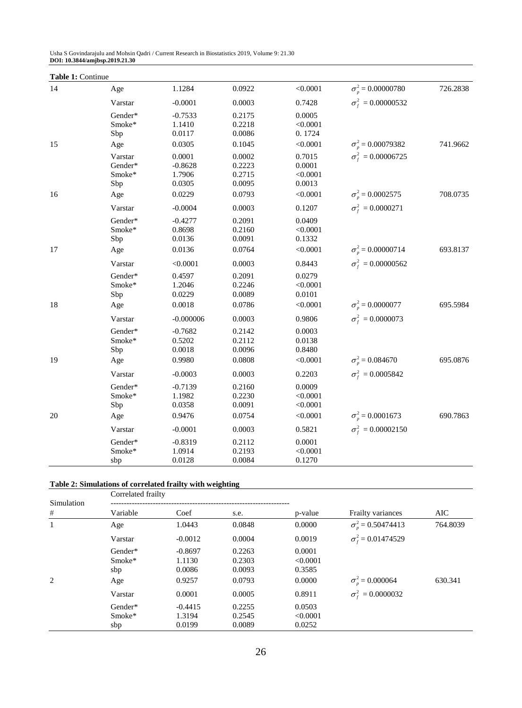| Table 1: Continue |                                            |                                                  |                                                |                                                    |                                                             |          |
|-------------------|--------------------------------------------|--------------------------------------------------|------------------------------------------------|----------------------------------------------------|-------------------------------------------------------------|----------|
| 14                | Age                                        | 1.1284                                           | 0.0922                                         | < 0.0001                                           | $\sigma_p^2 = 0.00000780$                                   | 726.2838 |
|                   | Varstar                                    | $-0.0001$                                        | 0.0003                                         | 0.7428                                             | $\sigma_{\rm f}^2 = 0.00000532$                             |          |
|                   | Gender*<br>Smoke*<br>Sbp                   | $-0.7533$<br>1.1410<br>0.0117                    | 0.2175<br>0.2218<br>0.0086                     | 0.0005<br>< 0.0001<br>0.1724                       |                                                             |          |
| 15                | Age                                        | 0.0305                                           | 0.1045                                         | < 0.0001                                           | $\sigma_p^2$ = 0.00079382                                   | 741.9662 |
|                   | Varstar<br>Gender*<br>Smoke*<br>Sbp        | 0.0001<br>$-0.8628$<br>1.7906<br>0.0305          | 0.0002<br>0.2223<br>0.2715<br>0.0095           | 0.7015<br>0.0001<br>< 0.0001<br>0.0013             | $\sigma_{\rm f}^2 = 0.00006725$                             |          |
| 16                | Age                                        | 0.0229                                           | 0.0793                                         | < 0.0001                                           | $\sigma_n^2$ = 0.0002575                                    | 708.0735 |
|                   | Varstar                                    | $-0.0004$                                        | 0.0003                                         | 0.1207                                             | $\sigma_{\rm r}^2 = 0.0000271$                              |          |
| 17                | Gender*<br>Smoke*<br>Sbp<br>Age            | $-0.4277$<br>0.8698<br>0.0136<br>0.0136          | 0.2091<br>0.2160<br>0.0091<br>0.0764           | 0.0409<br>< 0.0001<br>0.1332<br>< 0.0001           | $\sigma_p^2$ = 0.00000714                                   | 693.8137 |
|                   |                                            |                                                  |                                                |                                                    |                                                             |          |
| 18                | Varstar<br>Gender*<br>Smoke*<br>Sbp<br>Age | < 0.0001<br>0.4597<br>1.2046<br>0.0229<br>0.0018 | 0.0003<br>0.2091<br>0.2246<br>0.0089<br>0.0786 | 0.8443<br>0.0279<br>< 0.0001<br>0.0101<br>< 0.0001 | $\sigma_{\rm f}^2 = 0.00000562$<br>$\sigma_p^2 = 0.0000077$ | 695.5984 |
|                   | Varstar                                    | $-0.000006$                                      | 0.0003                                         | 0.9806                                             | $\sigma_{\rm f}^2 = 0.0000073$                              |          |
|                   | Gender*<br>Smoke*<br>Sbp                   | $-0.7682$<br>0.5202<br>0.0018                    | 0.2142<br>0.2112<br>0.0096                     | 0.0003<br>0.0138<br>0.8480                         |                                                             |          |
| 19                | Age                                        | 0.9980                                           | 0.0808                                         | < 0.0001                                           | $\sigma_{\eta}^2 = 0.084670$                                | 695.0876 |
|                   | Varstar                                    | $-0.0003$                                        | 0.0003                                         | 0.2203                                             | $\sigma_f^2 = 0.0005842$                                    |          |
|                   | Gender*<br>Smoke*<br>Sbp                   | $-0.7139$<br>1.1982<br>0.0358                    | 0.2160<br>0.2230<br>0.0091                     | 0.0009<br>< 0.0001<br>< 0.0001                     |                                                             |          |
| 20                | Age                                        | 0.9476                                           | 0.0754                                         | < 0.0001                                           | $\sigma_n^2$ = 0.0001673                                    | 690.7863 |
|                   | Varstar                                    | $-0.0001$                                        | 0.0003                                         | 0.5821                                             | $\sigma_{\rm f}^2 = 0.00002150$                             |          |
|                   | Gender*<br>Smoke*<br>sbp                   | $-0.8319$<br>1.0914<br>0.0128                    | 0.2112<br>0.2193<br>0.0084                     | 0.0001<br>< 0.0001<br>0.1270                       |                                                             |          |

# **Table 2: Simulations of correlated frailty with weighting**

|                 | Correlated frailty              |                                         |                                      |                                        |                                 |          |  |  |  |
|-----------------|---------------------------------|-----------------------------------------|--------------------------------------|----------------------------------------|---------------------------------|----------|--|--|--|
| Simulation<br># | Variable                        | Coef                                    | s.e.                                 | p-value                                | Frailty variances               | AIC      |  |  |  |
| $\mathbf{1}$    | Age                             | 1.0443                                  | 0.0848                               | 0.0000                                 | $\sigma_{\rm n}^2$ = 0.50474413 | 764.8039 |  |  |  |
|                 | Varstar                         | $-0.0012$                               | 0.0004                               | 0.0019                                 | $\sigma_f^2$ = 0.01474529       |          |  |  |  |
| 2               | Gender*<br>Smoke*<br>sbp<br>Age | $-0.8697$<br>1.1130<br>0.0086<br>0.9257 | 0.2263<br>0.2303<br>0.0093<br>0.0793 | 0.0001<br>< 0.0001<br>0.3585<br>0.0000 | $\sigma_p^2 = 0.000064$         | 630.341  |  |  |  |
|                 | Varstar                         | 0.0001                                  | 0.0005                               | 0.8911                                 | $\sigma_{\rm f}^2 = 0.0000032$  |          |  |  |  |
|                 | Gender*<br>Smoke*<br>sbp        | $-0.4415$<br>1.3194<br>0.0199           | 0.2255<br>0.2545<br>0.0089           | 0.0503<br>< 0.0001<br>0.0252           |                                 |          |  |  |  |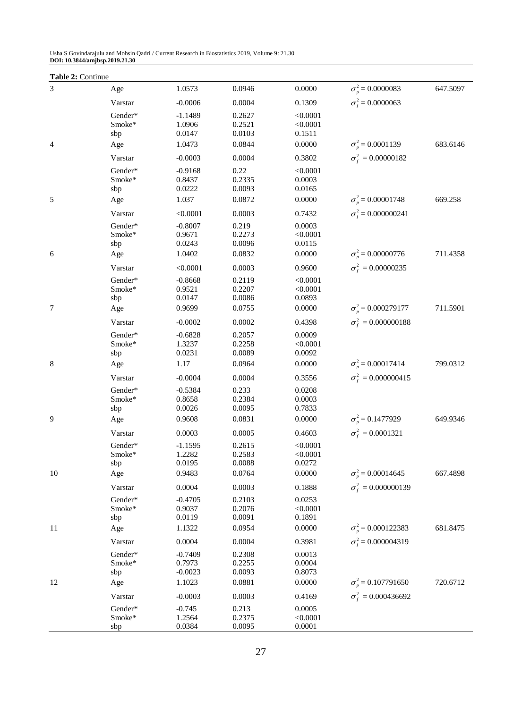| Table 2: Continue |                   |                     |                  |                    |                                  |          |
|-------------------|-------------------|---------------------|------------------|--------------------|----------------------------------|----------|
| $\mathfrak{Z}$    | Age               | 1.0573              | 0.0946           | 0.0000             | $\sigma_p^2 = 0.0000083$         | 647.5097 |
|                   | Varstar           | $-0.0006$           | 0.0004           | 0.1309             | $\sigma_f^2$ = 0.0000063         |          |
|                   | Gender*           | $-1.1489$           | 0.2627           | < 0.0001           |                                  |          |
|                   | Smoke*            | 1.0906              | 0.2521           | < 0.0001           |                                  |          |
|                   | sbp               | 0.0147              | 0.0103           | 0.1511             |                                  |          |
| 4                 | Age               | 1.0473              | 0.0844           | 0.0000             | $\sigma_{\eta}^2 = 0.0001139$    | 683.6146 |
|                   | Varstar           | $-0.0003$           | 0.0004           | 0.3802             | $\sigma_f^2 = 0.00000182$        |          |
|                   | Gender*           | $-0.9168$           | 0.22             | < 0.0001           |                                  |          |
|                   | Smoke*            | 0.8437              | 0.2335           | 0.0003             |                                  |          |
| 5                 | sbp               | 0.0222<br>1.037     | 0.0093<br>0.0872 | 0.0165<br>0.0000   | $\sigma_{\eta}^2 = 0.00001748$   | 669.258  |
|                   | Age               |                     |                  |                    |                                  |          |
|                   | Varstar           | < 0.0001            | 0.0003           | 0.7432             | $\sigma_f^2$ = 0.000000241       |          |
|                   | Gender*<br>Smoke* | $-0.8007$<br>0.9671 | 0.219<br>0.2273  | 0.0003<br>< 0.0001 |                                  |          |
|                   | sbp               | 0.0243              | 0.0096           | 0.0115             |                                  |          |
| 6                 | Age               | 1.0402              | 0.0832           | 0.0000             | $\sigma_n^2$ = 0.00000776        | 711.4358 |
|                   | Varstar           | < 0.0001            | 0.0003           | 0.9600             | $\sigma_f^2 = 0.00000235$        |          |
|                   | Gender*           | $-0.8668$           | 0.2119           | < 0.0001           |                                  |          |
|                   | Smoke*            | 0.9521              | 0.2207           | < 0.0001           |                                  |          |
|                   | sbp               | 0.0147              | 0.0086           | 0.0893             |                                  |          |
| 7                 | Age               | 0.9699              | 0.0755           | 0.0000             | $\sigma_n^2$ = 0.000279177       | 711.5901 |
|                   | Varstar           | $-0.0002$           | 0.0002           | 0.4398             | $\sigma_f^2 = 0.000000188$       |          |
|                   | Gender*           | $-0.6828$           | 0.2057           | 0.0009             |                                  |          |
|                   | Smoke*            | 1.3237              | 0.2258           | < 0.0001           |                                  |          |
|                   | sbp               | 0.0231              | 0.0089           | 0.0092             |                                  |          |
| 8                 | Age               | 1.17                | 0.0964           | 0.0000             | $\sigma_n^2$ = 0.00017414        | 799.0312 |
|                   | Varstar           | $-0.0004$           | 0.0004           | 0.3556             | $\sigma_{\rm f}^2 = 0.000000415$ |          |
|                   | Gender*<br>Smoke* | $-0.5384$           | 0.233<br>0.2384  | 0.0208             |                                  |          |
|                   | sbp               | 0.8658<br>0.0026    | 0.0095           | 0.0003<br>0.7833   |                                  |          |
| 9                 | Age               | 0.9608              | 0.0831           | 0.0000             | $\sigma_p^2 = 0.1477929$         | 649.9346 |
|                   | Varstar           | 0.0003              | 0.0005           | 0.4603             | $\sigma_f^2 = 0.0001321$         |          |
|                   | Gender*           | $-1.1595$           | 0.2615           | < 0.0001           |                                  |          |
|                   | Smoke*            | 1.2282              | 0.2583           | < 0.0001           |                                  |          |
|                   | sbp               | 0.0195              | 0.0088           | 0.0272             |                                  |          |
| 10                | Age               | 0.9483              | 0.0764           | 0.0000             | $\sigma_n^2$ = 0.00014645        | 667.4898 |
|                   | Varstar           | 0.0004              | 0.0003           | 0.1888             | $\sigma_{\rm f}^2 = 0.000000139$ |          |
|                   | Gender*           | $-0.4705$           | 0.2103           | 0.0253             |                                  |          |
|                   | Smoke*            | 0.9037              | 0.2076           | < 0.0001           |                                  |          |
|                   | sbp               | 0.0119              | 0.0091           | 0.1891             |                                  |          |
| 11                | Age               | 1.1322              | 0.0954           | 0.0000             | $\sigma_n^2$ = 0.000122383       | 681.8475 |
|                   | Varstar           | 0.0004              | 0.0004           | 0.3981             | $\sigma_{\rm r}^2$ = 0.000004319 |          |
|                   | Gender*<br>Smoke* | $-0.7409$<br>0.7973 | 0.2308<br>0.2255 | 0.0013<br>0.0004   |                                  |          |
|                   | sbp               | $-0.0023$           | 0.0093           | 0.8073             |                                  |          |
| 12                | Age               | 1.1023              | 0.0881           | 0.0000             | $\sigma_p^2$ = 0.107791650       | 720.6712 |
|                   | Varstar           | $-0.0003$           | 0.0003           | 0.4169             | $\sigma_{\rm f}^2 = 0.000436692$ |          |
|                   | Gender*           | $-0.745$            | 0.213            | 0.0005             |                                  |          |
|                   | Smoke*            | 1.2564              | 0.2375           | < 0.0001           |                                  |          |
|                   | sbp               | 0.0384              | 0.0095           | 0.0001             |                                  |          |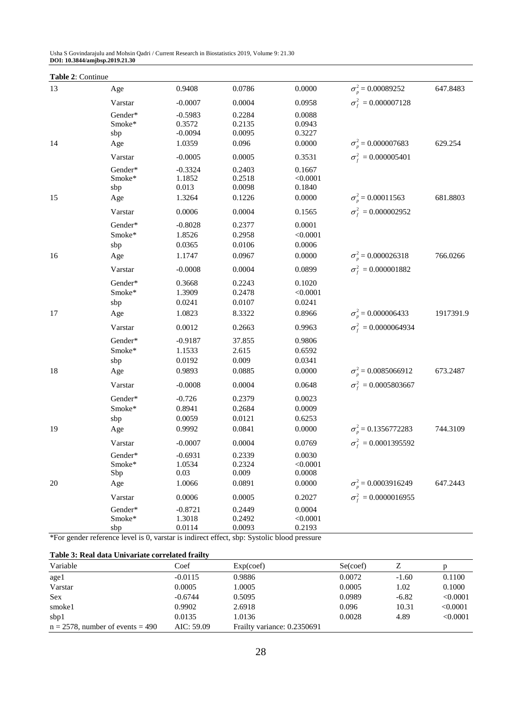| Table 2: Continue |                                   |                                       |                                     |                                        |                                  |           |
|-------------------|-----------------------------------|---------------------------------------|-------------------------------------|----------------------------------------|----------------------------------|-----------|
| 13                | Age                               | 0.9408                                | 0.0786                              | 0.0000                                 | $\sigma_n^2$ = 0.00089252        | 647.8483  |
|                   | Varstar                           | $-0.0007$                             | 0.0004                              | 0.0958                                 | $\sigma_f^2 = 0.000007128$       |           |
|                   | Gender*<br>Smoke*<br>sbp          | $-0.5983$<br>0.3572<br>$-0.0094$      | 0.2284<br>0.2135<br>0.0095          | 0.0088<br>0.0943<br>0.3227             |                                  |           |
| 14                | Age                               | 1.0359                                | 0.096                               | 0.0000                                 | $\sigma_n^2$ = 0.000007683       | 629.254   |
|                   | Varstar                           | $-0.0005$                             | 0.0005                              | 0.3531                                 | $\sigma_f^2 = 0.000005401$       |           |
|                   | Gender*<br>Smoke*<br>sbp          | $-0.3324$<br>1.1852<br>0.013          | 0.2403<br>0.2518<br>0.0098          | 0.1667<br>< 0.0001<br>0.1840           |                                  |           |
| 15                | Age                               | 1.3264                                | 0.1226                              | 0.0000                                 | $\sigma_n^2$ = 0.00011563        | 681.8803  |
|                   | Varstar                           | 0.0006                                | 0.0004                              | 0.1565                                 | $\sigma_f^2 = 0.000002952$       |           |
|                   | Gender*<br>Smoke*<br>sbp          | $-0.8028$<br>1.8526<br>0.0365         | 0.2377<br>0.2958<br>0.0106          | 0.0001<br>< 0.0001<br>0.0006           |                                  |           |
| 16                | Age                               | 1.1747                                | 0.0967                              | 0.0000                                 | $\sigma_n^2$ = 0.000026318       | 766.0266  |
|                   | Varstar                           | $-0.0008$                             | 0.0004                              | 0.0899                                 | $\sigma_{\rm f}^2 = 0.000001882$ |           |
|                   | Gender*<br>Smoke*<br>sbp          | 0.3668<br>1.3909<br>0.0241            | 0.2243<br>0.2478<br>0.0107          | 0.1020<br>< 0.0001<br>0.0241           |                                  |           |
| 17                | Age                               | 1.0823                                | 8.3322                              | 0.8966                                 | $\sigma_n^2$ = 0.000006433       | 1917391.9 |
|                   | Varstar                           | 0.0012                                | 0.2663                              | 0.9963                                 | $\sigma_f^2 = 0.0000064934$      |           |
|                   | Gender*<br>Smoke*<br>sbp          | $-0.9187$<br>1.1533<br>0.0192         | 37.855<br>2.615<br>0.009            | 0.9806<br>0.6592<br>0.0341             |                                  |           |
| 18                | Age                               | 0.9893                                | 0.0885                              | 0.0000                                 | $\sigma_{\eta}^2$ = 0.0085066912 | 673.2487  |
|                   | Varstar                           | $-0.0008$                             | 0.0004                              | 0.0648                                 | $\sigma_f^2 = 0.0005803667$      |           |
|                   | Gender*<br>Smoke*<br>sbp          | $-0.726$<br>0.8941<br>0.0059          | 0.2379<br>0.2684<br>0.0121          | 0.0023<br>0.0009<br>0.6253             |                                  |           |
| 19                | Age                               | 0.9992                                | 0.0841                              | 0.0000                                 | $\sigma_n^2$ = 0.1356772283      | 744.3109  |
|                   | Varstar                           | $-0.0007$                             | 0.0004                              | 0.0769                                 | $\sigma_f^2 = 0.0001395592$      |           |
| 20                | Gender*<br>$Smoke*$<br>Sbp<br>Age | $-0.6931$<br>1.0534<br>0.03<br>1.0066 | 0.2339<br>0.2324<br>0.009<br>0.0891 | 0.0030<br>< 0.0001<br>0.0008<br>0.0000 | $\sigma_{n}^{2} = 0.0003916249$  | 647.2443  |
|                   | Varstar                           | 0.0006                                | 0.0005                              | 0.2027                                 | $\sigma_f^2 = 0.0000016955$      |           |
|                   | Gender*<br>Smoke*<br>sbp          | $-0.8721$<br>1.3018<br>0.0114         | 0.2449<br>0.2492<br>0.0093          | 0.0004<br>< 0.0001<br>0.2193           |                                  |           |

\*For gender reference level is 0, varstar is indirect effect, sbp: Systolic blood pressure

### **Table 3: Real data Univariate correlated frailty**

| Variable                            | Coef       | Exp(coef)                   | Se(coef) |         |          |
|-------------------------------------|------------|-----------------------------|----------|---------|----------|
| agel                                | $-0.0115$  | 0.9886                      | 0.0072   | $-1.60$ | 0.1100   |
| Varstar                             | 0.0005     | 1.0005                      | 0.0005   | 1.02    | 0.1000   |
| <b>Sex</b>                          | $-0.6744$  | 0.5095                      | 0.0989   | $-6.82$ | < 0.0001 |
| smoke1                              | 0.9902     | 2.6918                      | 0.096    | 10.31   | < 0.0001 |
| sbp1                                | 0.0135     | 1.0136                      | 0.0028   | 4.89    | < 0.0001 |
| $n = 2578$ , number of events = 490 | AIC: 59.09 | Frailty variance: 0.2350691 |          |         |          |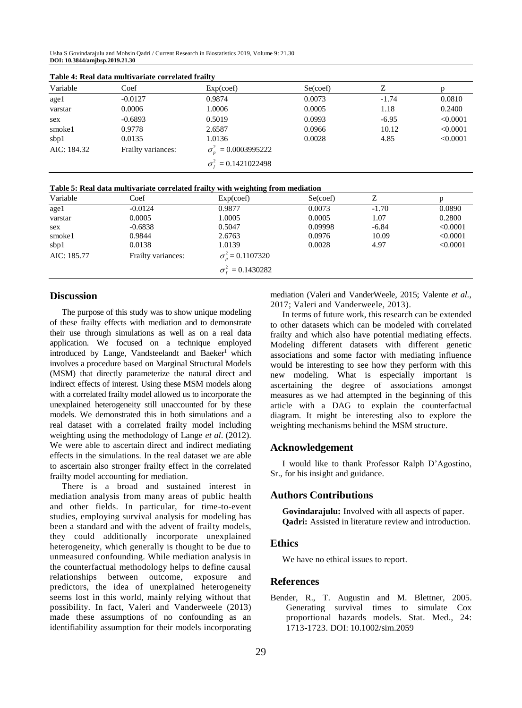| Variable    | Coef               | Exp(coef)                         | Se(coef) |         |          |
|-------------|--------------------|-----------------------------------|----------|---------|----------|
| age1        | $-0.0127$          | 0.9874                            | 0.0073   | $-1.74$ | 0.0810   |
| varstar     | 0.0006             | 1.0006                            | 0.0005   | 1.18    | 0.2400   |
| sex         | $-0.6893$          | 0.5019                            | 0.0993   | $-6.95$ | < 0.0001 |
| smoke1      | 0.9778             | 2.6587                            | 0.0966   | 10.12   | < 0.0001 |
| sbp1        | 0.0135             | 1.0136                            | 0.0028   | 4.85    | < 0.0001 |
| AIC: 184.32 | Frailty variances: | $\sigma_n^2 = 0.0003995222$       |          |         |          |
|             |                    | $\sigma_{\rm f}^2 = 0.1421022498$ |          |         |          |

|  |  |  | Table 4: Real data multivariate correlated frailty |  |  |
|--|--|--|----------------------------------------------------|--|--|
|--|--|--|----------------------------------------------------|--|--|

| Table 5: Real data multivariate correlated frailty with weighting from mediation |  |
|----------------------------------------------------------------------------------|--|
|----------------------------------------------------------------------------------|--|

| Variable    | Coef               | Exp(coef)                      | Se(coef) |         |          |
|-------------|--------------------|--------------------------------|----------|---------|----------|
| age1        | $-0.0124$          | 0.9877                         | 0.0073   | $-1.70$ | 0.0890   |
| varstar     | 0.0005             | 1.0005                         | 0.0005   | 1.07    | 0.2800   |
| sex         | $-0.6838$          | 0.5047                         | 0.09998  | $-6.84$ | < 0.0001 |
| smoke1      | 0.9844             | 2.6763                         | 0.0976   | 10.09   | < 0.0001 |
| sbp1        | 0.0138             | 1.0139                         | 0.0028   | 4.97    | < 0.0001 |
| AIC: 185.77 | Frailty variances: | $\sigma_n^2 = 0.1107320$       |          |         |          |
|             |                    | $\sigma_{\rm f}^2 = 0.1430282$ |          |         |          |

## **Discussion**

The purpose of this study was to show unique modeling of these frailty effects with mediation and to demonstrate their use through simulations as well as on a real data application. We focused on a technique employed introduced by Lange, Vandsteelandt and Baeker<sup>1</sup> which involves a procedure based on Marginal Structural Models (MSM) that directly parameterize the natural direct and indirect effects of interest. Using these MSM models along with a correlated frailty model allowed us to incorporate the unexplained heterogeneity still unaccounted for by these models. We demonstrated this in both simulations and a real dataset with a correlated frailty model including weighting using the methodology of Lange *et al*. (2012). We were able to ascertain direct and indirect mediating effects in the simulations. In the real dataset we are able to ascertain also stronger frailty effect in the correlated frailty model accounting for mediation.

There is a broad and sustained interest in mediation analysis from many areas of public health and other fields. In particular, for time-to-event studies, employing survival analysis for modeling has been a standard and with the advent of frailty models, they could additionally incorporate unexplained heterogeneity, which generally is thought to be due to unmeasured confounding. While mediation analysis in the counterfactual methodology helps to define causal relationships between outcome, exposure and predictors, the idea of unexplained heterogeneity seems lost in this world, mainly relying without that possibility. In fact, Valeri and Vanderweele (2013) made these assumptions of no confounding as an identifiability assumption for their models incorporating

mediation (Valeri and VanderWeele, 2015; Valente *et al*., 2017; Valeri and Vanderweele, 2013).

In terms of future work, this research can be extended to other datasets which can be modeled with correlated frailty and which also have potential mediating effects. Modeling different datasets with different genetic associations and some factor with mediating influence would be interesting to see how they perform with this new modeling. What is especially important is ascertaining the degree of associations amongst measures as we had attempted in the beginning of this article with a DAG to explain the counterfactual diagram. It might be interesting also to explore the weighting mechanisms behind the MSM structure.

### **Acknowledgement**

I would like to thank Professor Ralph D'Agostino, Sr., for his insight and guidance.

### **Authors Contributions**

**Govindarajulu:** Involved with all aspects of paper. **Qadri:** Assisted in literature review and introduction.

## **Ethics**

We have no ethical issues to report.

## **References**

Bender, R., T. Augustin and M. Blettner, 2005. Generating survival times to simulate Cox proportional hazards models. Stat. Med., 24: 1713-1723. DOI: 10.1002/sim.2059